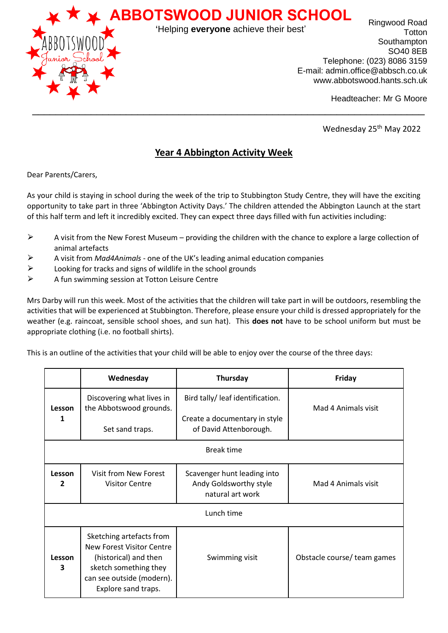

Ringwood Road **Totton** Southampton SO40 8EB Telephone: (023) 8086 3159 E-mail: admin.office@abbsch.co.uk www.abbotswood.hants.sch.uk 'Helping **everyone** achieve their best'

Headteacher: Mr G Moore

Wednesday 25<sup>th</sup> May 2022

## **Year 4 Abbington Activity Week**

\_\_\_\_\_\_\_\_\_\_\_\_\_\_\_\_\_\_\_\_\_\_\_\_\_\_\_\_\_\_\_\_\_\_\_\_\_\_\_\_\_\_\_\_\_\_\_\_\_\_\_\_\_\_\_\_\_\_\_\_\_\_\_\_\_\_\_

Dear Parents/Carers,

As your child is staying in school during the week of the trip to Stubbington Study Centre, they will have the exciting opportunity to take part in three 'Abbington Activity Days.' The children attended the Abbington Launch at the start of this half term and left it incredibly excited. They can expect three days filled with fun activities including:

- $\triangleright$  A visit from the New Forest Museum providing the children with the chance to explore a large collection of animal artefacts
- ⮚ A visit from *Mad4Animals* one of the UK's leading animal education companies
- $\triangleright$  Looking for tracks and signs of wildlife in the school grounds
- $\triangleright$  A fun swimming session at Totton Leisure Centre

Mrs Darby will run this week. Most of the activities that the children will take part in will be outdoors, resembling the activities that will be experienced at Stubbington. Therefore, please ensure your child is dressed appropriately for the weather (e.g. raincoat, sensible school shoes, and sun hat). This **does not** have to be school uniform but must be appropriate clothing (i.e. no football shirts).

This is an outline of the activities that your child will be able to enjoy over the course of the three days:

|                        | Wednesday                                                                                                                                                   | Thursday                                                                                    | Friday                      |
|------------------------|-------------------------------------------------------------------------------------------------------------------------------------------------------------|---------------------------------------------------------------------------------------------|-----------------------------|
| Lesson<br>1            | Discovering what lives in<br>the Abbotswood grounds.<br>Set sand traps.                                                                                     | Bird tally/ leaf identification.<br>Create a documentary in style<br>of David Attenborough. | Mad 4 Animals visit         |
| <b>Break time</b>      |                                                                                                                                                             |                                                                                             |                             |
| Lesson<br>$\mathbf{2}$ | Visit from New Forest<br><b>Visitor Centre</b>                                                                                                              | Scavenger hunt leading into<br>Andy Goldsworthy style<br>natural art work                   | Mad 4 Animals visit         |
| Lunch time             |                                                                                                                                                             |                                                                                             |                             |
| Lesson<br>3            | Sketching artefacts from<br>New Forest Visitor Centre<br>(historical) and then<br>sketch something they<br>can see outside (modern).<br>Explore sand traps. | Swimming visit                                                                              | Obstacle course/ team games |